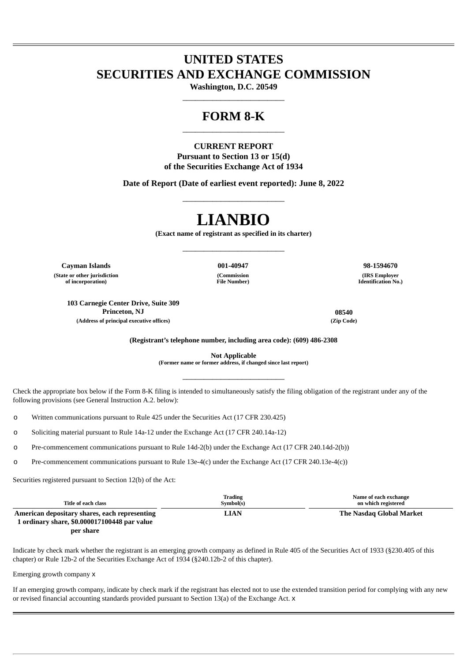## **UNITED STATES SECURITIES AND EXCHANGE COMMISSION**

**Washington, D.C. 20549** \_\_\_\_\_\_\_\_\_\_\_\_\_\_\_\_\_\_\_\_\_\_\_\_

### **FORM 8-K** \_\_\_\_\_\_\_\_\_\_\_\_\_\_\_\_\_\_\_\_\_\_\_\_

### **CURRENT REPORT Pursuant to Section 13 or 15(d) of the Securities Exchange Act of 1934**

**Date of Report (Date of earliest event reported): June 8, 2022** \_\_\_\_\_\_\_\_\_\_\_\_\_\_\_\_\_\_\_\_\_\_\_\_

# **LIANBIO**

**(Exact name of registrant as specified in its charter)** \_\_\_\_\_\_\_\_\_\_\_\_\_\_\_\_\_\_\_\_\_\_\_\_

> **(Commission File Number)**

**Cayman Islands 001-40947 98-1594670 (State or other jurisdiction of incorporation)**

**103 Carnegie Center Drive, Suite 309 Princeton, NJ 08540 (Address of principal executive offices) (Zip Code)**

**(IRS Employer Identification No.)**

**(Registrant's telephone number, including area code): (609) 486-2308**

**Not Applicable (Former name or former address, if changed since last report)**

\_\_\_\_\_\_\_\_\_\_\_\_\_\_\_\_\_\_\_\_\_\_\_\_

Check the appropriate box below if the Form 8-K filing is intended to simultaneously satisfy the filing obligation of the registrant under any of the following provisions (see General Instruction A.2. below):

o Written communications pursuant to Rule 425 under the Securities Act (17 CFR 230.425)

o Soliciting material pursuant to Rule 14a-12 under the Exchange Act (17 CFR 240.14a-12)

o Pre-commencement communications pursuant to Rule 14d-2(b) under the Exchange Act (17 CFR 240.14d-2(b))

o Pre-commencement communications pursuant to Rule 13e-4(c) under the Exchange Act (17 CFR 240.13e-4(c))

Securities registered pursuant to Section 12(b) of the Act:

| Title of each class                           | Trading<br>Symbol(s) | Name of each exchange<br>on which registered |
|-----------------------------------------------|----------------------|----------------------------------------------|
| American depositary shares, each representing | <b>LIAN</b>          | The Nasdag Global Market                     |
| 1 ordinary share, \$0.000017100448 par value  |                      |                                              |

**per share**

Indicate by check mark whether the registrant is an emerging growth company as defined in Rule 405 of the Securities Act of 1933 (§230.405 of this chapter) or Rule 12b-2 of the Securities Exchange Act of 1934 (§240.12b-2 of this chapter).

Emerging growth company x

If an emerging growth company, indicate by check mark if the registrant has elected not to use the extended transition period for complying with any new or revised financial accounting standards provided pursuant to Section 13(a) of the Exchange Act. x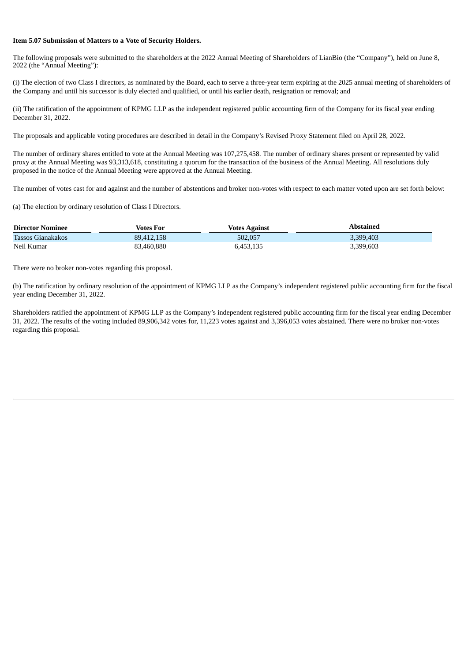#### **Item 5.07 Submission of Matters to a Vote of Security Holders.**

The following proposals were submitted to the shareholders at the 2022 Annual Meeting of Shareholders of LianBio (the "Company"), held on June 8, 2022 (the "Annual Meeting"):

(i) The election of two Class I directors, as nominated by the Board, each to serve a three-year term expiring at the 2025 annual meeting of shareholders of the Company and until his successor is duly elected and qualified, or until his earlier death, resignation or removal; and

(ii) The ratification of the appointment of KPMG LLP as the independent registered public accounting firm of the Company for its fiscal year ending December 31, 2022.

The proposals and applicable voting procedures are described in detail in the Company's Revised Proxy Statement filed on April 28, 2022.

The number of ordinary shares entitled to vote at the Annual Meeting was 107,275,458. The number of ordinary shares present or represented by valid proxy at the Annual Meeting was 93,313,618, constituting a quorum for the transaction of the business of the Annual Meeting. All resolutions duly proposed in the notice of the Annual Meeting were approved at the Annual Meeting.

The number of votes cast for and against and the number of abstentions and broker non-votes with respect to each matter voted upon are set forth below:

(a) The election by ordinary resolution of Class I Directors.

| <b>Director Nominee</b> | Votes For  | <b>Votes Against</b> | Abstained |
|-------------------------|------------|----------------------|-----------|
| Tassos Gianakakos       | 89.412.158 | 502.057              | 3.399.403 |
| Neil Kumar              | 83,460,880 | 6,453,135            | 3,399,603 |

There were no broker non-votes regarding this proposal.

(b) The ratification by ordinary resolution of the appointment of KPMG LLP as the Company's independent registered public accounting firm for the fiscal year ending December 31, 2022.

Shareholders ratified the appointment of KPMG LLP as the Company's independent registered public accounting firm for the fiscal year ending December 31, 2022. The results of the voting included 89,906,342 votes for, 11,223 votes against and 3,396,053 votes abstained. There were no broker non-votes regarding this proposal.